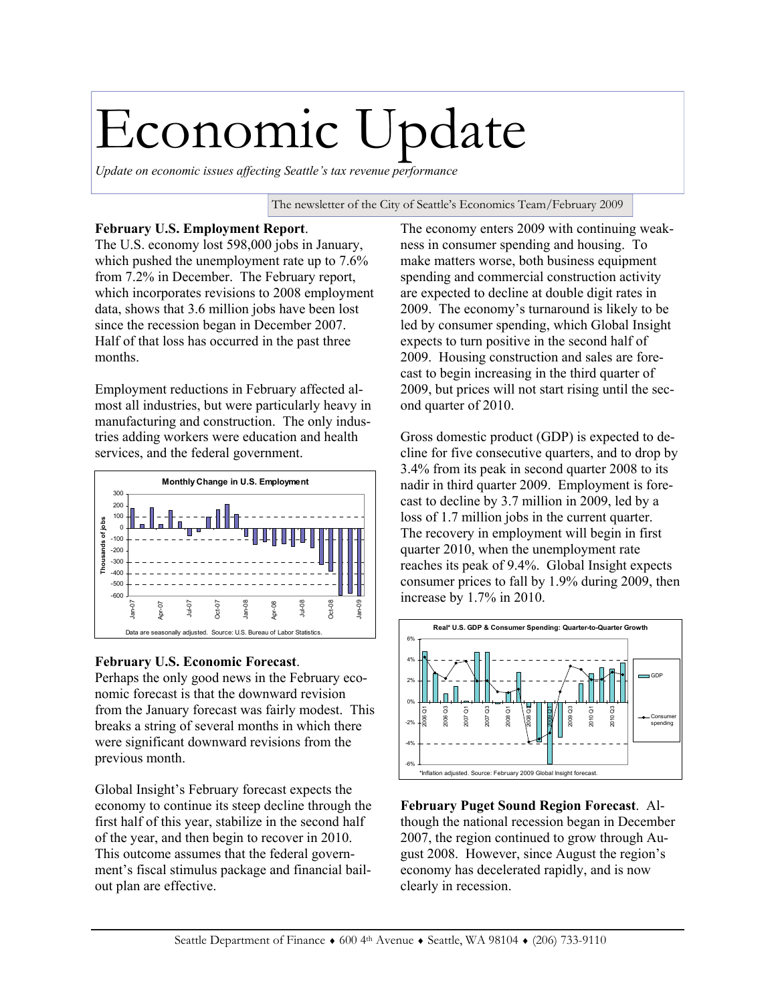## Economic Update

*Update on economic issues affecting Seattle's tax revenue performance* 

The newsletter of the City of Seattle's Economics Team/February 2009

## **February U.S. Employment Report**.

The U.S. economy lost 598,000 jobs in January, which pushed the unemployment rate up to 7.6% from 7.2% in December. The February report, which incorporates revisions to 2008 employment data, shows that 3.6 million jobs have been lost since the recession began in December 2007. Half of that loss has occurred in the past three months.

Employment reductions in February affected almost all industries, but were particularly heavy in manufacturing and construction. The only industries adding workers were education and health services, and the federal government.



## **February U.S. Economic Forecast**.

Perhaps the only good news in the February economic forecast is that the downward revision from the January forecast was fairly modest. This breaks a string of several months in which there were significant downward revisions from the previous month.

Global Insight's February forecast expects the economy to continue its steep decline through the first half of this year, stabilize in the second half of the year, and then begin to recover in 2010. This outcome assumes that the federal government's fiscal stimulus package and financial bailout plan are effective.

The economy enters 2009 with continuing weakness in consumer spending and housing. To make matters worse, both business equipment spending and commercial construction activity are expected to decline at double digit rates in 2009. The economy's turnaround is likely to be led by consumer spending, which Global Insight expects to turn positive in the second half of 2009. Housing construction and sales are forecast to begin increasing in the third quarter of 2009, but prices will not start rising until the second quarter of 2010.

Gross domestic product (GDP) is expected to decline for five consecutive quarters, and to drop by 3.4% from its peak in second quarter 2008 to its nadir in third quarter 2009. Employment is forecast to decline by 3.7 million in 2009, led by a loss of 1.7 million jobs in the current quarter. The recovery in employment will begin in first quarter 2010, when the unemployment rate reaches its peak of 9.4%. Global Insight expects consumer prices to fall by 1.9% during 2009, then increase by 1.7% in 2010.



**February Puget Sound Region Forecast**. Although the national recession began in December 2007, the region continued to grow through August 2008. However, since August the region's economy has decelerated rapidly, and is now clearly in recession.